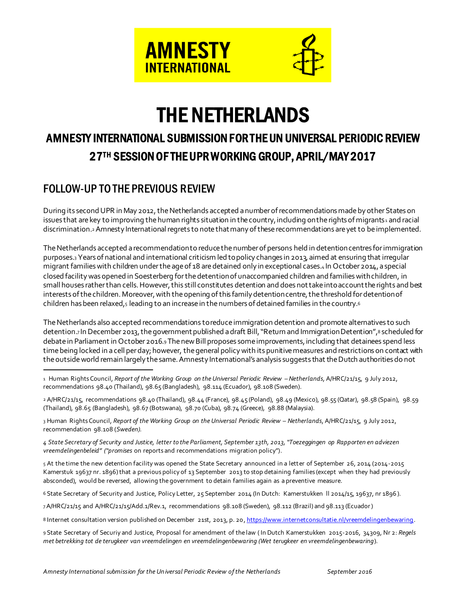

# THE NETHERLANDS

# AMNESTY INTERNATIONAL SUBMISSION FOR THE UN UNIVERSAL PERIODIC REVIEW 27TH SESSION OF THE UPR WORKING GROUP, APRIL/MAY 2017

# FOLLOW-UP TO THE PREVIOUS REVIEW

j

During its second UPR in May 2012, the Netherlands accepted a number of recommendations made by other States on issues that are key to improving the human rights situation in the country, including on the rights of migrants<sup>1</sup> and racial discrimination.2Amnesty International regrets to note that many of these recommendations are yet to be implemented.

The Netherlands accepted a recommendation to reduce the number of persons held in detention centres for immigration purposes.<sup>3</sup> Years of national and international criticism led to policy changes in 2013, aimed at ensuring that irregular migrant families with children under the age of 18 are detained only in exceptional cases.<sup>4</sup> In October 2014, a special closed facility was opened in Soesterberg for the detention of unaccompanied children and families with children, in small houses rather than cells. However, this still constitutes detention and does not take into account the rights and best interests of the children. Moreover, with the opening of this family detention centre, the threshold for detention of children has been relaxed, $5$  leading to an increase in the numbers of detained families in the country. $6$ 

The Netherlands also accepted recommendations to reduce immigration detention and promote alternatives to such detention.<sub>7</sub> In December 2013, the government published a draft Bill, "Return and Immigration Detention",<sup>8</sup> scheduled for debate in Parliament in October 2016.<sup>9</sup> The new Bill proposes some improvements, including that detainees spend less time being locked in a cell per day; however, the general policy with its punitive measures and restrictions on contact with the outside world remain largely the same. Amnesty International's analysis suggests that the Dutch authorities do not

3 Human Rights Council, *Report of the Working Group on the Universal Periodic Review – Netherlands*, A/HRC/21/15, 9 July 2012, recommendation 98.108 (*Sweden).*

*4 State Secretary of Security and Justice, letter to the Parliament, September 13th, 2013, "Toezeggingen op Rapporten en adviezen vreemdelingenbeleid" ("promises* on reports and recommendations migration policy").

5 At the time the new detention facility was opened the State Secretary announced in a letter of September 26, 2014 (2014-2015 Kamerstuk 19637 nr. 1896) that a previous policy of 13 September 2013 to stop detaining families (except when they had previously absconded), would be reversed, allowing the government to detain families again as a preventive measure.

6 State Secretary of Security and Justice, Policy Letter, 25 September 2014 (In Dutch: Kamerstukken ll 2014/15, 19637, nr 1896 ).

7A/HRC/21/15 and A/HRC/21/15/Add.1/Rev.1, recommendations 98.108 (Sweden), 98.112 (Brazil) and 98.113 (Ecuador)

8 Internet consultation version published on December 21st, 2013, p. 20, https://www.internetconsultatie.nl/vreemdelingenbewaring.

9 State Secretary of Securiy and Justice, Proposal for amendment of the law ( In Dutch Kamerstukken 2015-2016, 34309, Nr 2: *Regels met betrekking tot de terugkeer van vreemdelingen en vreemdelingenbewaring (Wet terugkeer en vreemdelingenbewaring*).

<sup>1</sup> Human Rights Council, *Report of the Working Group on the Universal Periodic Review –Netherlands*, A/HRC/21/15, 9 July 2012, recommendations 98.40 (Thailand), 98.65 (Bangladesh), 98.114 (Ecuador), 98.108 (Sweden).

<sup>2</sup> A/HRC/21/15, recommendations 98.40 (Thailand), 98.44 (France), 98.45 (Poland), 98.49 (Mexico), 98.55 (Qatar), 98.58 (Spain), 98.59 (Thailand), 98.65 (Bangladesh), 98.67 (Botswana), 98.70 (Cuba), 98.74 (Greece), 98.88 (Malaysia).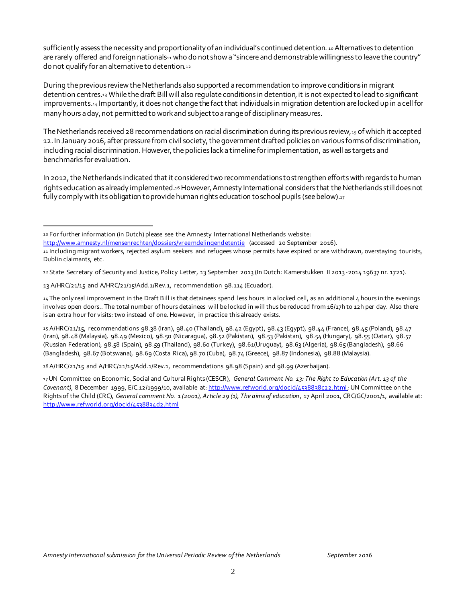sufficiently assess the necessity and proportionality of an individual's continued detention. 10 Alternatives to detention are rarely offered and foreign nationals11 who do not show a "sincere and demonstrable willingness to leave the country" do not qualify for an alternative to detention.<sup>12</sup>

During the previous review the Netherlands also supported a recommendation to improve conditions in migrant detention centres.<sup>13</sup> While the draft Bill will also regulate conditions in detention, it is not expected to lead to significant improvements.<sup>14</sup> Importantly, it does not change the fact that individuals in migration detention are locked up in a cell for many hours a day, not permitted to work and subject to a range of disciplinary measures.

The Netherlands received 28 recommendations on racial discrimination during its previous review,<sup>15</sup> of which it accepted 12. In January 2016, after pressure from civil society, the government drafted policies on various forms of discrimination, including racial discrimination. However, the policies lack a timeline for implementation, as well as targets and benchmarks for evaluation.

In 2012,the Netherlands indicated that it considered two recommendations to strengthen efforts with regards to human rights education as already implemented.16 However, Amnesty International considers that the Netherlands still does not fully comply with its obligation to provide human rights education to school pupils (see below).<sup>17</sup>

j

15 A/HRC/21/15, recommendations 98.38 (Iran), 98.40 (Thailand), 98.42 (Egypt), 98.43 (Egypt), 98.44 (France), 98.45 (Poland), 98.47 (Iran), 98.48 (Malaysia), 98.49 (Mexico), 98.50 (Nicaragua), 98.52 (Pakistan), 98.53 (Pakistan), 98.54 (Hungary), 98.55 (Qatar), 98.57 (Russian Federation), 98.58 (Spain), 98.59 (Thailand), 98.60 (Turkey), 98.61(Uruguay), 98.63 (Algeria), 98.65 (Bangladesh), 98.66 (Bangladesh), 98.67 (Botswana), 98.69 (Costa Rica), 98.70 (Cuba), 98.74 (Greece), 98.87 (Indonesia), 98.88 (Malaysia).

16 A/HRC/21/15 and A/HRC/21/15/Add.1/Rev.1, recommendations 98.98 (Spain) and 98.99 (Azerbaijan).

<sup>10</sup> For further information (in Dutch) please see the Amnesty International Netherlands website:

http://www.amnesty.nl/mensenrechten/dossiers/vr eemdelingendetentie (accessed 20 September 2016).

<sup>11</sup> Including migrant workers, rejected asylum seekers and refugees whose permits have expired or are withdrawn, overstaying tourists, Dublin claimants, etc.

<sup>12</sup> State Secretary of Security and Justice, Policy Letter, 13 September 2013 (In Dutch: Kamerstukken II 2013-2014 19637 nr. 1721).

<sup>13</sup> A/HRC/21/15 and A/HRC/21/15/Add.1/Rev.1, recommendation 98.114 (Ecuador).

<sup>14</sup> The only real improvement in the Draft Bill is that detainees spend less hours in a locked cell, as an additional 4 hours in the evenings involves open doors.. The total number of hours detainees will be locked in will thus be reduced from 16/17h to 12h per day. Also there is an extra hour for visits: two instead of one. However, in practice this already exists.

<sup>17</sup>UN Committee on Economic, Social and Cultural Rights (CESCR), *General Comment No. 13: The Right to Education (Art. 13 of the Covenant)*, 8 December 1999, E/C.12/1999/10, available at: http://www.refworld.org/docid/4538838c22.html; UN Committee on the Rights of the Child (CRC), *General comment No. 1 (2001), Article 29 (1), The aims of education*, 17 April 2001, CRC/GC/2001/1, available at: http://www.refworld.org/docid/4538834d2.html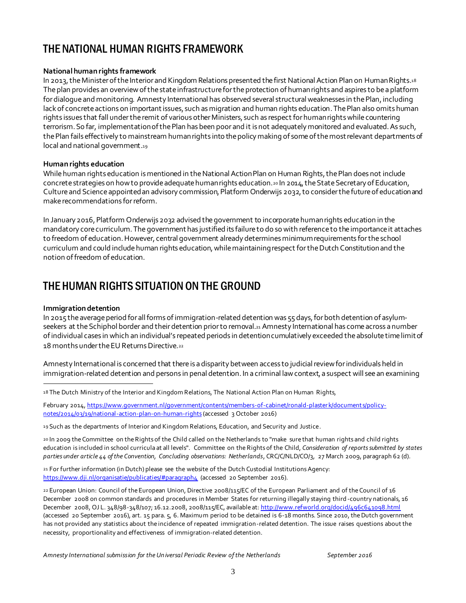# THE NATIONAL HUMAN RIGHTS FRAMEWORK

#### **National human rights framework**

In 2013, the Minister of the Interior and Kingdom Relations presented the first National Action Plan on Human Rights.18 The plan provides an overview of the state infrastructure for the protection of human rights and aspires to be a platform for dialogue and monitoring. Amnesty International has observed several structural weaknesses in the Plan, including lack of concrete actions on important issues, such as migration and human rights education.The Plan also omits human rights issues that fall under the remit of various other Ministers, such as respect for human rights while countering terrorism. So far, implementation of the Plan has been poor and it is not adequately monitored and evaluated. As such, the Plan fails effectively to mainstream human rights into the policy making of some of the most relevant departments of local and national government.<sup>19</sup>

#### **Human rights education**

While human rights education is mentioned in the National Action Plan on Human Rights, the Plan does not include concrete strategies on how to provide adequate human rights education.  $2014$ , the State Secretary of Education, Culture and Science appointed an advisory commission, Platform Onderwijs 2032, to consider the future of education and make recommendations for reform.

In January 2016, Platform Onderwijs 2032 advised the government to incorporate human rights education in the mandatory core curriculum. The government has justified its failure to do so with reference to the importance it attaches to freedom of education. However, central government already determines minimum requirements for the school curriculum and could include human rights education,while maintaining respect forthe Dutch Constitution and the notion of freedom of education.

# THE HUMAN RIGHTS SITUATION ON THE GROUND

#### **Immigration detention**

In 2015 the average period for all forms of immigration-related detention was 55 days, for both detention of asylumseekers at the Schiphol border and their detention prior to removal.<sup>21</sup> Amnesty International has come across a number of individual cases in which an individual's repeated periods in detention cumulatively exceeded the absolute time limit of 18 months under the EU Returns Directive.<sup>22</sup>

Amnesty International is concerned that there is a disparity between access to judicial review for individuals held in immigration-related detention and persons in penal detention. In a criminal law context, a suspect will see an examining

j 18 The Dutch Ministry of the Interior and Kingdom Relations, The National Action Plan on Human Rights,

February 2014, https://www.government.nl/government/contents/members-of-cabinet/ronald-plaster k/document s/policynotes/2014/03/19/national-action-plan-on-human-rights (accessed 3 October 2016)

19 Such as the departments of Interior and Kingdom Relations, Education, and Security and Justice.

20 In 2009 the Committee on the Rights of the Child called on the Netherlands to "make sure that human rights and child rights education is included in school curricula at all levels". Committee on the Rights of the Child, *Consideration of reports submitted by states parties under article 44 of the Convention, Concluding observations: Netherlands*, CRC/C/NLD/CO/3, 27 March 2009, paragraph 62 (d).

21 For further information (in Dutch) please see the website of the Dutch Custodial Institutions Agency: https://www.dji.nl/organisatie/publicaties/#paragraph4 (accessed 20 September 2016).

22 European Union: Council of the European Union, Directive 2008/115/EC of the European Parliament and of the Council of 16 December 2008 on common standards and procedures in Member States for returning illegally staying third-country nationals, 16 December 2008, OJ L. 348/98-348/107; 16.12.2008, 2008/115/EC, available at: http://www.refworld.org/docid/496c641098.html (accessed 20 September 2016), art. 15 para. 5, 6. Maximum period to be detained is 6-18 months. Since 2010, the Dutch government has not provided any statistics about the incidence of repeated immigration-related detention. The issue raises questions about the necessity, proportionality and effectiveness of immigration-related detention.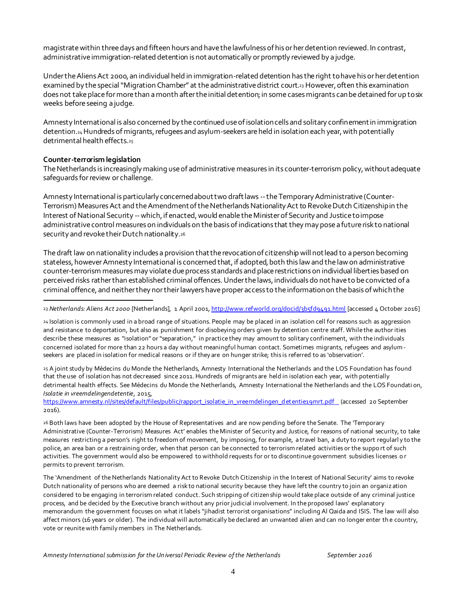magistrate within three days and fifteen hours and have the lawfulness of his or her detention reviewed. In contrast, administrative immigration-related detention is not automatically or promptly reviewed by a judge.

Under the Aliens Act 2000, an individual held in immigration-related detention has the right to have his or her detention examined by the special "Migration Chamber" at the administrative district court.<sup>23</sup> However, often this examination does not take place for more than a month after the initial detention; in some casesmigrants can be detained for up to six weeks before seeing a judge.

Amnesty International is also concerned by the continued use of isolation cells and solitary confinement in immigration detention.24Hundreds of migrants, refugees and asylum-seekers are held in isolation each year, with potentially detrimental health effects.<sup>25</sup>

#### **Counter-terrorism legislation**

l

The Netherlands is increasingly making use of administrative measures in its counter-terrorism policy, without adequate safeguards for review or challenge.

Amnesty International is particularly concerned about two draft laws --the Temporary Administrative (Counter-Terrorism) Measures Act and the Amendment of the Netherlands Nationality Act to Revoke Dutch Citizenship in the Interest of National Security --which, if enacted, would enable the Minister of Security and Justice to impose administrative control measures on individuals on the basis of indications that they may pose a future risk to national security and revoke their Dutch nationality.<sup>26</sup>

The draft law on nationality includes a provision that the revocation of citizenship will not lead to a person becoming stateless, however Amnesty International is concerned that, if adopted, both this law and the law on administrative counter-terrorism measures may violatedue process standards and placerestrictions on individual liberties based on perceived risks rather than established criminal offences. Under the laws, individuals do not have to be convicted of a criminal offence, and neither they nor their lawyers have proper access to the informationon the basis of which the

23 *Netherlands: Aliens Act 2000* [Netherlands], 1 April 2001, http://www.refworld.org/docid/3b5fd9491.html [accessed 4 October 2016]

24 Isolation is commonly used in a broad range of situations. People may be placed in an isolation cell for reasons such as aggression and resistance to deportation, but also as punishment for disobeying orders given by detention centre staff. While the author ities describe these measures as "isolation" or "separation," in practice they may amount to solitary confinement, with the individuals concerned isolated for more than 22 hours a day without meaningful human contact. Sometimes migrants, refugees and asylumseekers are placed in isolation for medical reasons or if they are on hunger strike; this is referred to as 'observation'.

25 A joint study by Médecins du Monde the Netherlands, Amnesty International the Netherlands and the LOS Foundation has found that the use of isolation has not decreased since 2011. Hundreds of migrants are held in isolation each year, with potentially detrimental health effects. See Médecins du Monde the Netherlands, Amnesty International the Netherlands and the LOS Foundati on, *Isolatie in vreemdelingendetentie*, 2015,

https://www.amnesty.nl/sites/default/files/public/rapport\_isolatie\_in\_vreemdelingen\_det entie19mrt.pdf (accessed 20 September 2016).

26 Both laws have been adopted by the House of Representatives and are now pending before the Senate. The 'Temporary Administrative (Counter-Terrorism) Measures Act' enables the Minister of Security and Justice, for reasons of national security, to take measures restricting a person's right to freedom of movement, by imposing, for example, a travel ban, a duty to report regularl y to the police, an area ban or a restraining order, when that person can be connected to terrorism related activities or the suppo rt of such activities. The government would also be empowered to withhold requests for or to discontinue government subsidies licenses o r permits to prevent terrorism.

The 'Amendment of the Netherlands Nationality Act to Revoke Dutch Citizenship in the Interest of National Security' aims to revoke Dutch nationality of persons who are deemed a risk to national security because they have left the country to join an organiz ation considered to be engaging in terrorism related conduct. Such stripping of citizenship would take place outside of any criminal justice process, and be decided by the Executive branch without any prior judicial involvement. In the proposed laws' explanatory memorandum the government focuses on what it labels "jihadist terrorist organisations" including Al Qaida and ISIS. The law will also affect minors (16 years or older). The individual will automatically be declared an unwanted alien and can no longer enter th e country, vote or reunite with family members in The Netherlands.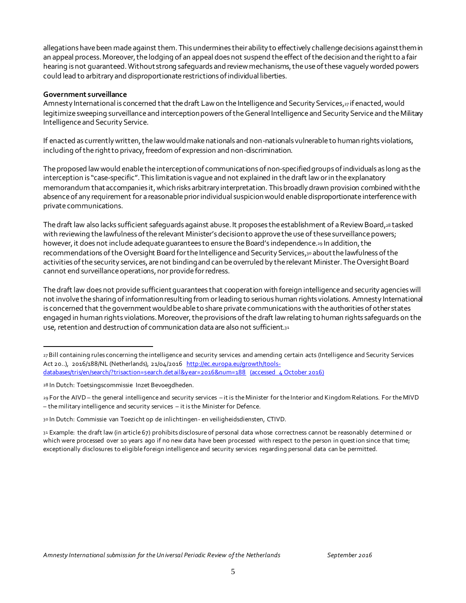allegations have been made against them. This undermines their ability to effectively challenge decisions against them in an appeal process.Moreover, the lodging of an appeal does not suspend the effect of the decisionand the right to a fair hearing is not guaranteed. Without strong safeguards and review mechanisms, the use of these vaguely worded powers could lead to arbitrary and disproportionate restrictions of individual liberties.

#### **Government surveillance**

Amnesty International is concerned that the draft Law on the Intelligence and Security Services, 27 if enacted, would legitimize sweeping surveillance and interception powers ofthe General Intelligence and Security Service and the Military Intelligence and Security Service.

If enacted as currently written, the law would make nationals and non-nationals vulnerable to human rights violations, including ofthe right to privacy, freedom of expression and non-discrimination.

The proposed law would enable the interception of communications of non-specified groups of individuals as long as the interception is "case-specific". This limitation is vague and not explained in the draft law or in the explanatory memorandum that accompanies it, which risks arbitrary interpretation. This broadly drawn provision combined with the absence of any requirement for a reasonable prior individual suspicionwould enable disproportionate interference with private communications.

The draft law also lacks sufficient safeguards against abuse. It proposes the establishment of a Review Board,<sup>28</sup> tasked with reviewing the lawfulness of the relevant Minister's decision to approve the use of these surveillance powers; however, it does not include adequate guarantees to ensure the Board's independence.<sup>29</sup> In addition, the recommendations of the Oversight Board for the Intelligence and Security Services,<sup>30</sup> about the lawfulness of the activities of the security services, are not binding and can be overruled by the relevant Minister. The Oversight Board cannot end surveillance operations, nor provide for redress.

The draft law does not provide sufficient guarantees that cooperation with foreign intelligence and security agencies will not involve the sharing of information resulting from or leading to serious human rights violations. Amnesty International is concerned that the government would be able to share private communications with the authorities of other states engaged in human rights violations. Moreover, the provisions of the draft law relating tohuman rights safeguards on the use, retention and destruction of communication data are also not sufficient.<sup>31</sup>

l

29 For the AIVD – the general intelligence and security services – it is the Minister for the Interior and Kingdom Relations. For the MIVD – the military intelligence and security services – it is the Minister for Defence.

<sup>27</sup>Bill containing rules concerning the intelligence and security services and amending certain acts (Intelligence and Security Services Act 20..), 2016/188/NL (Netherlands), 21/04/2016 http://ec.europa.eu/growth/toolsdatabases/tris/en/search/?trisaction=search.det ail&year=2016&num=188 (accessed 4 October 2016)

<sup>28</sup> In Dutch: Toetsingscommissie Inzet Bevoegdheden.

<sup>30</sup> In Dutch: Commissie van Toezicht op de inlichtingen- en veiligheidsdiensten, CTIVD.

<sup>31</sup> Example: the draft law (in article 67) prohibits disclosure of personal data whose correctness cannot be reasonably determined or which were processed over 10 years ago if no new data have been processed with respect to the person in question since that time; exceptionally disclosures to eligible foreign intelligence and security services regarding personal data can be permitted.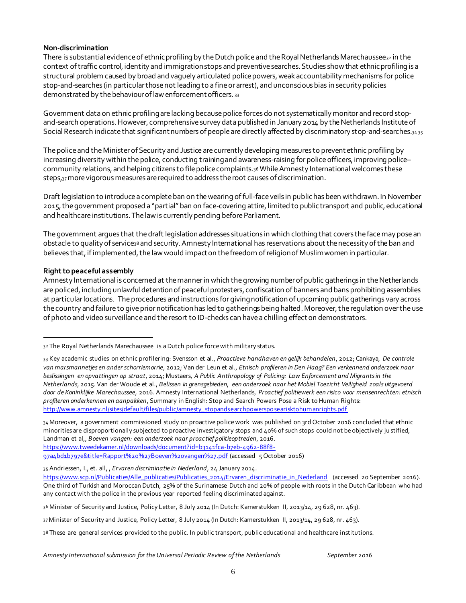#### **Non-discrimination**

There is substantial evidence of ethnic profiling by the Dutch police and the Royal Netherlands Marechaussee $_3$ 2 in the context of traffic control, identity and immigration stops and preventive searches. Studies show that ethnic profiling is a structural problem caused by broad and vaguely articulated police powers, weak accountability mechanisms forpolice stop-and-searches (in particular those not leading to a fine or arrest), and unconscious bias in security policies demonstrated by the behaviour of law enforcement officers. <sup>33</sup>

Government data on ethnic profiling arelacking because police forces do not systematically monitor and record stopand-search operations. However, comprehensive survey data published in January 2014 by the Netherlands Institute of Social Research indicate that significant numbers of people are directly affected by discriminatory stop-and-searches.<sub>34 35</sub>

The police and the Minister of Security and Justice are currently developing measures to prevent ethnic profiling by increasing diversity within the police, conducting training and awareness-raising forpolice officers, improving police– community relations, and helping citizens to file police complaints.36While Amnesty International welcomes these steps,37more vigorous measures are required to address the root causes of discrimination.

Draft legislation to introduce a complete ban on the wearing offull-face veils in public has been withdrawn. In November 2015, the government proposed a "partial" ban on face-covering attire,limited to public transport and public, educational and healthcare institutions. The law is currently pending before Parliament.

The government argues that the draft legislation addresses situations in which clothing that covers the face may pose an obstacleto quality of service<sup>38</sup> and security. Amnesty International has reservations about the necessity of the ban and believes that, if implemented, the law would impact on the freedom of religion of Muslim women in particular.

#### **Right to peaceful assembly**

l

Amnesty International is concerned at the manner in which the growing number of public gatherings in the Netherlands are policed, includingunlawful detentionof peaceful protesters, confiscation of banners and bans prohibiting assemblies at particular locations. The procedures and instructions for giving notification of upcoming public gatherings vary across the country and failure to give prior notification has led to gatherings being halted. Moreover, the regulation over the use of photo and video surveillance and the resort to ID-checks can have a chilling effect on demonstrators.

34 Moreover, a government commissioned study on proactive police work was published on 3rd October 2016 concluded that ethnic minorities are disproportionally subjected to proactive investigatory stops and 40% of such stops could not be objectively ju stified, Landman et al,, *Boeven vangen: een onderzoek naar proactief politieoptreden*, 2016. https://www.tweedekamer.nl/downloads/document?id=b3141fca-b7eb-4962-88f8-

97a4bd1b797e&title=Rapport%20%27Boeven%20vangen%27.pdf (accessed 5 October 2016)

35 Andriessen, I., et. all, , *Ervaren discriminatie in Nederland*, 24 January 2014.

36 Minister of Security and Justice, Policy Letter, 8 July 2014 (In Dutch: Kamerstukken II, 2013/14, 29 628, nr. 463).

37 Minister of Security and Justice, Policy Letter, 8 July 2014 (In Dutch: Kamerstukken II, 2013/14, 29 628, nr. 463).

<sup>32</sup> The Royal Netherlands Marechaussee is a Dutch police force with military status.

<sup>33</sup> Key academic studies on ethnic profilering: Svensson et al., *Proactieve handhaven en gelijk behandelen*, 2012; Cankaya, *De controle van marsmannetjes en ander schorriemorrie*, 2012; Van der Leun et al*., Etnisch profileren in Den Haag? Een verkennend onderzoek naar beslissingen en opvattingen op straat*, 2014; Mustaers, *A Public Anthropology of Policing: Law Enforcement and Migrants in the Netherlands*, 2015. Van der Woude et al., *Belissen in grensgebieden, een onderzoek naar het Mobiel Toezicht Veiligheid zoals uitgevoerd door de Koninklijke Marechaussee*, 2016. Amnesty International Netherlands, *Proactief politiewerk een risico voor mensenrechten: etnisch profileren onderkennen en aanpakken*, Summary in English: Stop and Search Powers Pose a Risk to Human Rights: http://www.amnesty.nl/sites/default/files/public/amnesty\_stopandsearchpowerspo searisktohumanrights.pdf

https://www.scp.nl/Publicaties/Alle\_publicaties/Publicaties\_2014/Ervaren\_discriminatie\_in\_Nederland (accessed 20 September 2016). One third of Turkish and Moroccan Dutch, 25% of the Surinamese Dutch and 20% of people with roots in the Dutch Caribbean who had any contact with the police in the previous year reported feeling discriminated against.

<sup>38</sup> These are general services provided to the public. In public transport, public educational and healthcare institutions.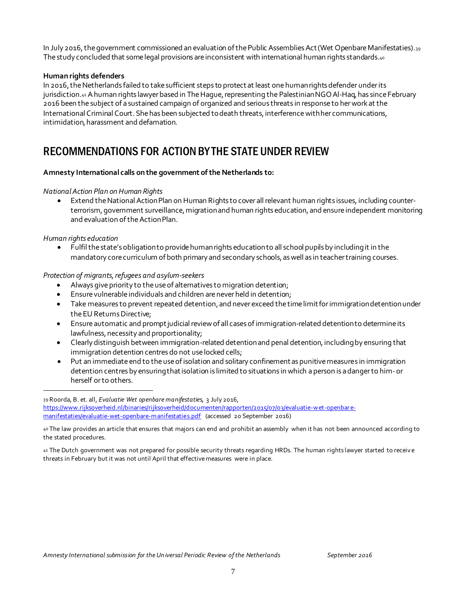In July 2016, the government commissioned an evaluation of the Public Assemblies Act (Wet Openbare Manifestaties).<sup>39</sup> The study concluded that some legal provisions are inconsistent with international human rights standards.<sup>40</sup>

#### **Human rights defenders**

In 2016,the Netherlands failed to take sufficient steps to protect at least one human rights defender under its jurisdiction.<sup>41</sup> Ahuman rights lawyer based in The Hague, representing the Palestinian NGO Al-Haq, has since February 2016 been the subject of a sustained campaign of organized and serious threats in response to her work at the International Criminal Court. She has been subjected todeath threats, interference with her communications, intimidation, harassment and defamation.

### RECOMMENDATIONS FOR ACTION BY THE STATE UNDER REVIEW

#### **Amnesty International calls on the government of the Netherlands to:**

#### *National Action Plan on Human Rights*

 Extend the National Action Plan on Human Rights to cover all relevant human rights issues, including counterterrorism, government surveillance, migration and human rights education, and ensure independent monitoring and evaluation of the Action Plan.

*Human rights education*

l

 Fulfil the state's obligation to provide human rights education to all school pupils by including it in the mandatory core curriculum of both primary and secondary schools, as well as in teacher training courses.

*Protection of migrants, refugees and asylum-seekers*

- Always give priority to the use of alternatives to migration detention;
- Ensure vulnerable individuals and children arenever held in detention;
- Take measures to prevent repeated detention, and never exceed the time limit for immigration detention under the EU Returns Directive;
- Ensure automatic and prompt judicial review of all cases of immigration-related detention to determine its lawfulness, necessity and proportionality;
- Clearly distinguish between immigration-related detention and penal detention, including by ensuring that immigration detention centres do not use locked cells;
- Put an immediate end to the use of isolation and solitary confinement as punitive measures in immigration detention centres by ensuring that isolation is limited to situations in which a person is a danger to him-or herself or to others.

<sup>39</sup> Roorda, B. et. all, *Evaluatie Wet openbare manifestatie*s*,* 3 July 2016, https://www.rijksoverheid.nl/binaries/rijksoverheid/documenten/rapporten/2015/07/03/evaluatie-w et-openbar emanifestaties/evaluatie-wet-openbare-manifestaties.pdf (accessed 20 September 2016)

<sup>40</sup> The law provides an article that ensures that majors can end and prohibit an assembly when it has not been announced according to the stated procedures.

<sup>41</sup> The Dutch government was not prepared for possible security threats regarding HRDs. The human rights lawyer started to receiv e threats in February but it was not until April that effective measures were in place.